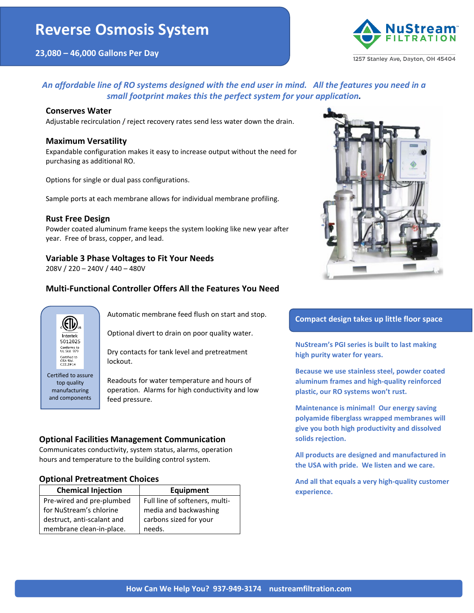

## *An affordable line of RO systems designed with the end user in mind. All the features you need in a small footprint makes this the perfect system for your application.*

#### **Conserves Water**

Adjustable recirculation / reject recovery rates send less water down the drain.

#### **Maximum Versatility**

Expandable configuration makes it easy to increase output without the need for purchasing as additional RO.

Options for single or dual pass configurations.

Sample ports at each membrane allows for individual membrane profiling.

#### **Rust Free Design**

Powder coated aluminum frame keeps the system looking like new year after year. Free of brass, copper, and lead.

## **Variable 3 Phase Voltages to Fit Your Needs**

208V / 220 – 240V / 440 – 480V

## **Multi-Functional Controller Offers All the Features You Need**



Automatic membrane feed flush on start and stop.

Optional divert to drain on poor quality water.

Dry contacts for tank level and pretreatment lockout.

Readouts for water temperature and hours of operation. Alarms for high conductivity and low feed pressure.

## **Optional Facilities Management Communication**

Communicates conductivity, system status, alarms, operation hours and temperature to the building control system.

#### **Optional Pretreatment Choices**

| <b>Chemical Injection</b>  | <b>Equipment</b>               |  |
|----------------------------|--------------------------------|--|
| Pre-wired and pre-plumbed  | Full line of softeners, multi- |  |
| for NuStream's chlorine    | media and backwashing          |  |
| destruct, anti-scalant and | carbons sized for your         |  |
| membrane clean-in-place.   | needs.                         |  |

## **Compact design takes up little floor space**

**NuStream's PGI series is built to last making high purity water for years.**

**Because we use stainless steel, powder coated aluminum frames and high-quality reinforced plastic, our RO systems won't rust.**

**Maintenance is minimal! Our energy saving polyamide fiberglass wrapped membranes will give you both high productivity and dissolved solids rejection.**

**All products are designed and manufactured in the USA with pride. We listen and we care.**

**And all that equals a very high-quality customer experience.**